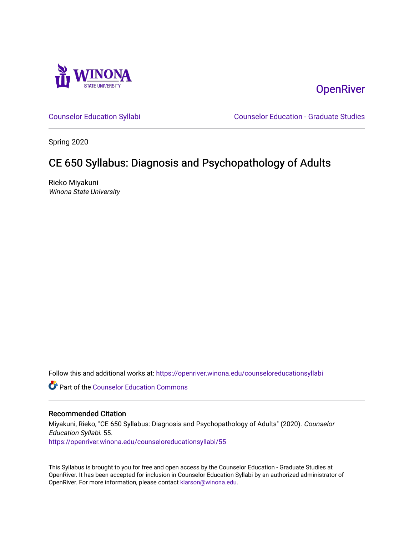

**OpenRiver** 

[Counselor Education Syllabi](https://openriver.winona.edu/counseloreducationsyllabi) [Counselor Education - Graduate Studies](https://openriver.winona.edu/counseloreducation) 

Spring 2020

# CE 650 Syllabus: Diagnosis and Psychopathology of Adults

Rieko Miyakuni Winona State University

Follow this and additional works at: [https://openriver.winona.edu/counseloreducationsyllabi](https://openriver.winona.edu/counseloreducationsyllabi?utm_source=openriver.winona.edu%2Fcounseloreducationsyllabi%2F55&utm_medium=PDF&utm_campaign=PDFCoverPages)

Part of the [Counselor Education Commons](http://network.bepress.com/hgg/discipline/1278?utm_source=openriver.winona.edu%2Fcounseloreducationsyllabi%2F55&utm_medium=PDF&utm_campaign=PDFCoverPages) 

### Recommended Citation

Miyakuni, Rieko, "CE 650 Syllabus: Diagnosis and Psychopathology of Adults" (2020). Counselor Education Syllabi. 55. [https://openriver.winona.edu/counseloreducationsyllabi/55](https://openriver.winona.edu/counseloreducationsyllabi/55?utm_source=openriver.winona.edu%2Fcounseloreducationsyllabi%2F55&utm_medium=PDF&utm_campaign=PDFCoverPages) 

This Syllabus is brought to you for free and open access by the Counselor Education - Graduate Studies at OpenRiver. It has been accepted for inclusion in Counselor Education Syllabi by an authorized administrator of OpenRiver. For more information, please contact [klarson@winona.edu](mailto:klarson@winona.edu).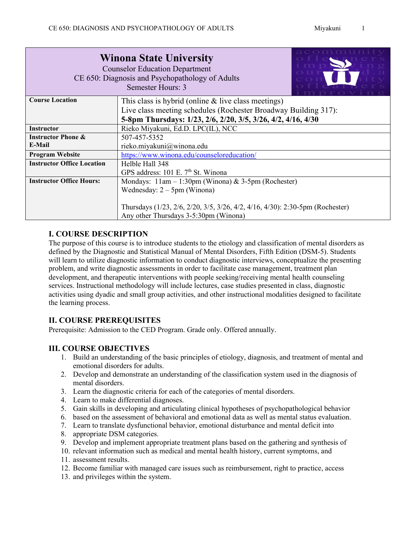|                                                                      | <b>Winona State University</b><br><b>Counselor Education Department</b><br>CE 650: Diagnosis and Psychopathology of Adults<br>Semester Hours: 3 |  |  |
|----------------------------------------------------------------------|-------------------------------------------------------------------------------------------------------------------------------------------------|--|--|
| <b>Course Location</b>                                               | This class is hybrid (online $\&$ live class meetings)                                                                                          |  |  |
|                                                                      | Live class meeting schedules (Rochester Broadway Building 317):                                                                                 |  |  |
| 5-8pm Thursdays: 1/23, 2/6, 2/20, 3/5, 3/26, 4/2, 4/16, 4/30         |                                                                                                                                                 |  |  |
| <b>Instructor</b>                                                    | Rieko Miyakuni, Ed.D. LPC(IL), NCC                                                                                                              |  |  |
| <b>Instructor Phone &amp;</b><br>507-457-5352                        |                                                                                                                                                 |  |  |
| E-Mail<br>rieko.miyakuni@winona.edu                                  |                                                                                                                                                 |  |  |
| https://www.winona.edu/counseloreducation/<br><b>Program Website</b> |                                                                                                                                                 |  |  |
| <b>Instructor Office Location</b>                                    | Helble Hall 348                                                                                                                                 |  |  |
|                                                                      | GPS address: 101 E. 7 <sup>th</sup> St. Winona                                                                                                  |  |  |
| <b>Instructor Office Hours:</b>                                      | Mondays: $11am - 1:30pm$ (Winona) & 3-5pm (Rochester)                                                                                           |  |  |
|                                                                      | Wednesday: $2 - 5$ pm (Winona)                                                                                                                  |  |  |
|                                                                      |                                                                                                                                                 |  |  |
|                                                                      | Thursdays (1/23, 2/6, 2/20, 3/5, 3/26, 4/2, 4/16, 4/30): 2:30-5pm (Rochester)                                                                   |  |  |
|                                                                      | Any other Thursdays 3-5:30pm (Winona)                                                                                                           |  |  |

# **I. COURSE DESCRIPTION**

The purpose of this course is to introduce students to the etiology and classification of mental disorders as defined by the Diagnostic and Statistical Manual of Mental Disorders, Fifth Edition (DSM-5). Students will learn to utilize diagnostic information to conduct diagnostic interviews, conceptualize the presenting problem, and write diagnostic assessments in order to facilitate case management, treatment plan development, and therapeutic interventions with people seeking/receiving mental health counseling services. Instructional methodology will include lectures, case studies presented in class, diagnostic activities using dyadic and small group activities, and other instructional modalities designed to facilitate the learning process.

# **II. COURSE PREREQUISITES**

Prerequisite: Admission to the CED Program. Grade only. Offered annually.

# **III. COURSE OBJECTIVES**

- 1. Build an understanding of the basic principles of etiology, diagnosis, and treatment of mental and emotional disorders for adults.
- 2. Develop and demonstrate an understanding of the classification system used in the diagnosis of mental disorders.
- 3. Learn the diagnostic criteria for each of the categories of mental disorders.
- 4. Learn to make differential diagnoses.
- 5. Gain skills in developing and articulating clinical hypotheses of psychopathological behavior
- 6. based on the assessment of behavioral and emotional data as well as mental status evaluation.
- 7. Learn to translate dysfunctional behavior, emotional disturbance and mental deficit into
- 8. appropriate DSM categories.
- 9. Develop and implement appropriate treatment plans based on the gathering and synthesis of
- 10. relevant information such as medical and mental health history, current symptoms, and 11. assessment results.
- 12. Become familiar with managed care issues such as reimbursement, right to practice, access
- 13. and privileges within the system.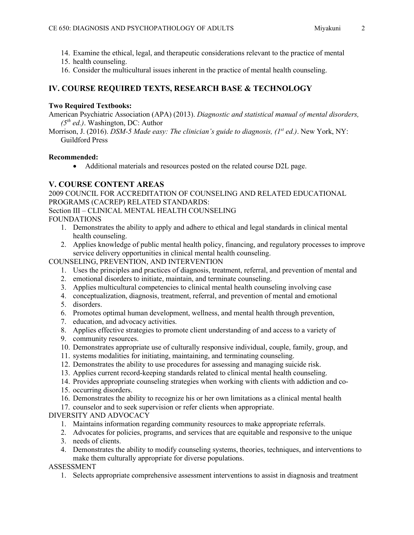- 14. Examine the ethical, legal, and therapeutic considerations relevant to the practice of mental
- 15. health counseling.
- 16. Consider the multicultural issues inherent in the practice of mental health counseling.

# **IV. COURSE REQUIRED TEXTS, RESEARCH BASE & TECHNOLOGY**

### **Two Required Textbooks:**

American Psychiatric Association (APA) (2013). *Diagnostic and statistical manual of mental disorders, (5th ed.)*. Washington, DC: Author

Morrison, J. (2016). *DSM-5 Made easy: The clinician's guide to diagnosis, (1<sup>st</sup> ed.)*. New York, NY: Guildford Press

#### **Recommended:**

• Additional materials and resources posted on the related course D2L page.

# **V. COURSE CONTENT AREAS**

2009 COUNCIL FOR ACCREDITATION OF COUNSELING AND RELATED EDUCATIONAL PROGRAMS (CACREP) RELATED STANDARDS: Section III – CLINICAL MENTAL HEALTH COUNSELING FOUNDATIONS

- 1. Demonstrates the ability to apply and adhere to ethical and legal standards in clinical mental health counseling.
- 2. Applies knowledge of public mental health policy, financing, and regulatory processes to improve service delivery opportunities in clinical mental health counseling.

COUNSELING, PREVENTION, AND INTERVENTION

- 1. Uses the principles and practices of diagnosis, treatment, referral, and prevention of mental and
- 2. emotional disorders to initiate, maintain, and terminate counseling.
- 3. Applies multicultural competencies to clinical mental health counseling involving case
- 4. conceptualization, diagnosis, treatment, referral, and prevention of mental and emotional
- 5. disorders.
- 6. Promotes optimal human development, wellness, and mental health through prevention,
- 7. education, and advocacy activities.
- 8. Applies effective strategies to promote client understanding of and access to a variety of
- 9. community resources.
- 10. Demonstrates appropriate use of culturally responsive individual, couple, family, group, and
- 11. systems modalities for initiating, maintaining, and terminating counseling.
- 12. Demonstrates the ability to use procedures for assessing and managing suicide risk.
- 13. Applies current record-keeping standards related to clinical mental health counseling.
- 14. Provides appropriate counseling strategies when working with clients with addiction and co-
- 15. occurring disorders.
- 16. Demonstrates the ability to recognize his or her own limitations as a clinical mental health
- 17. counselor and to seek supervision or refer clients when appropriate.

### DIVERSITY AND ADVOCACY

- 1. Maintains information regarding community resources to make appropriate referrals.
- 2. Advocates for policies, programs, and services that are equitable and responsive to the unique
- 3. needs of clients.
- 4. Demonstrates the ability to modify counseling systems, theories, techniques, and interventions to make them culturally appropriate for diverse populations.

### ASSESSMENT

1. Selects appropriate comprehensive assessment interventions to assist in diagnosis and treatment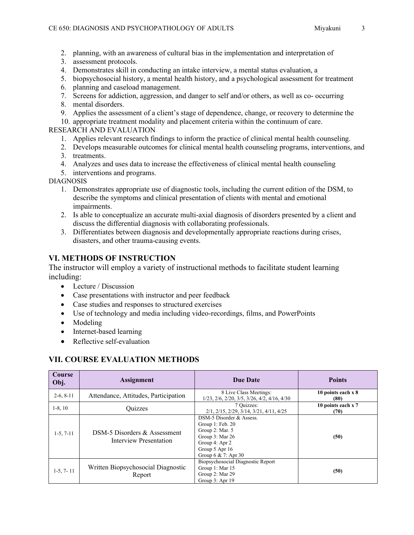- 2. planning, with an awareness of cultural bias in the implementation and interpretation of
- 3. assessment protocols.
- 4. Demonstrates skill in conducting an intake interview, a mental status evaluation, a
- 5. biopsychosocial history, a mental health history, and a psychological assessment for treatment
- 6. planning and caseload management.
- 7. Screens for addiction, aggression, and danger to self and/or others, as well as co- occurring
- 8. mental disorders.
- 9. Applies the assessment of a client's stage of dependence, change, or recovery to determine the

10. appropriate treatment modality and placement criteria within the continuum of care.

### RESEARCH AND EVALUATION

- 1. Applies relevant research findings to inform the practice of clinical mental health counseling.
- 2. Develops measurable outcomes for clinical mental health counseling programs, interventions, and
- 3. treatments.
- 4. Analyzes and uses data to increase the effectiveness of clinical mental health counseling
- 5. interventions and programs.

DIAGNOSIS

- 1. Demonstrates appropriate use of diagnostic tools, including the current edition of the DSM, to describe the symptoms and clinical presentation of clients with mental and emotional impairments.
- 2. Is able to conceptualize an accurate multi-axial diagnosis of disorders presented by a client and discuss the differential diagnosis with collaborating professionals.
- 3. Differentiates between diagnosis and developmentally appropriate reactions during crises, disasters, and other trauma-causing events.

# **VI. METHODS OF INSTRUCTION**

The instructor will employ a variety of instructional methods to facilitate student learning including:

- Lecture / Discussion
- Case presentations with instructor and peer feedback
- Case studies and responses to structured exercises
- Use of technology and media including video-recordings, films, and PowerPoints
- Modeling
- Internet-based learning
- Reflective self-evaluation

# **VII. COURSE EVALUATION METHODS**

| <b>Course</b><br>Obj. | Assignment                                                    | <b>Due Date</b>                                                                                                                                   | <b>Points</b>              |
|-----------------------|---------------------------------------------------------------|---------------------------------------------------------------------------------------------------------------------------------------------------|----------------------------|
| $2-6, 8-11$           | Attendance, Attitudes, Participation                          | 8 Live Class Meetings:<br>1/23, 2/6, 2/20, 3/5, 3/26, 4/2, 4/16, 4/30                                                                             | 10 points each x 8<br>(80) |
| $1-8, 10$             | Quizzes                                                       | 7 Quizzes:<br>2/1, 2/15, 2/29, 3/14, 3/21, 4/11, 4/25                                                                                             | 10 points each x 7<br>(70) |
| $1-5, 7-11$           | DSM-5 Disorders & Assessment<br><b>Interview Presentation</b> | DSM-5 Disorder & Assess.<br>Group 1: Feb. 20<br>Group 2: Mar. 5<br>Group 3: Mar 26<br>Group 4: Apr 2<br>Group 5 Apr 16<br>Group $6 \& 7$ : Apr 30 | (50)                       |
| $1-5, 7-11$           | Written Biopsychosocial Diagnostic<br>Report                  | Biopsychosocial Diagnostic Report<br>Group 1: Mar 15<br>Group 2: Mar 29<br>Group 3: Apr 19                                                        | (50)                       |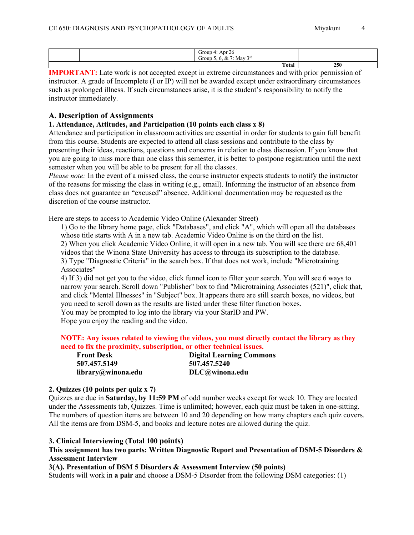| $\sim$<br>$\Delta$ nr<br><b>Group</b><br>$\prime\prime$<br>$\sim$<br>$\sim$<br>2rd<br>. .<br>Mav<br>Group<br>$\overline{\phantom{a}}$ |     |
|---------------------------------------------------------------------------------------------------------------------------------------|-----|
| Total                                                                                                                                 | 250 |

**IMPORTANT:** Late work is not accepted except in extreme circumstances and with prior permission of instructor. A grade of Incomplete (I or IP) will not be awarded except under extraordinary circumstances such as prolonged illness. If such circumstances arise, it is the student's responsibility to notify the instructor immediately.

### **A. Description of Assignments**

### **1. Attendance, Attitudes, and Participation (10 points each class x 8)**

Attendance and participation in classroom activities are essential in order for students to gain full benefit from this course. Students are expected to attend all class sessions and contribute to the class by presenting their ideas, reactions, questions and concerns in relation to class discussion. If you know that you are going to miss more than one class this semester, it is better to postpone registration until the next semester when you will be able to be present for all the classes.

*Please note:* In the event of a missed class, the course instructor expects students to notify the instructor of the reasons for missing the class in writing (e.g., email). Informing the instructor of an absence from class does not guarantee an "excused" absence. Additional documentation may be requested as the discretion of the course instructor.

Here are steps to access to Academic Video Online (Alexander Street)

1) Go to the library home page, click "Databases", and click "A", which will open all the databases whose title starts with A in a new tab. Academic Video Online is on the third on the list. 2) When you click Academic Video Online, it will open in a new tab. You will see there are 68,401 videos that the Winona State University has access to through its subscription to the database. 3) Type "Diagnostic Criteria" in the search box. If that does not work, include "Microtraining Associates"

4) If 3) did not get you to the video, click funnel icon to filter your search. You will see 6 ways to narrow your search. Scroll down "Publisher" box to find "Microtraining Associates (521)", click that, and click "Mental Illnesses" in "Subject" box. It appears there are still search boxes, no videos, but you need to scroll down as the results are listed under these filter function boxes.

You may be prompted to log into the library via your StarID and PW.

Hope you enjoy the reading and the video.

### **NOTE: Any issues related to viewing the videos, you must directly contact the library as they need to fix the proximity, subscription, or other technical issues.**

**Front Desk 507.457.5149 library@winona.edu** **Digital Learning Commons 507.457.5240 DLC@winona.edu**

### **2. Quizzes (10 points per quiz x 7)**

Quizzes are due in **Saturday, by 11:59 PM** of odd number weeks except for week 10. They are located under the Assessments tab, Quizzes. Time is unlimited; however, each quiz must be taken in one-sitting. The numbers of question items are between 10 and 20 depending on how many chapters each quiz covers. All the items are from DSM-5, and books and lecture notes are allowed during the quiz.

#### **3. Clinical Interviewing (Total 100 points)**

### **This assignment has two parts: Written Diagnostic Report and Presentation of DSM-5 Disorders & Assessment Interview**

### **3(A). Presentation of DSM 5 Disorders & Assessment Interview (50 points)**

Students will work in **a pair** and choose a DSM-5 Disorder from the following DSM categories: (1)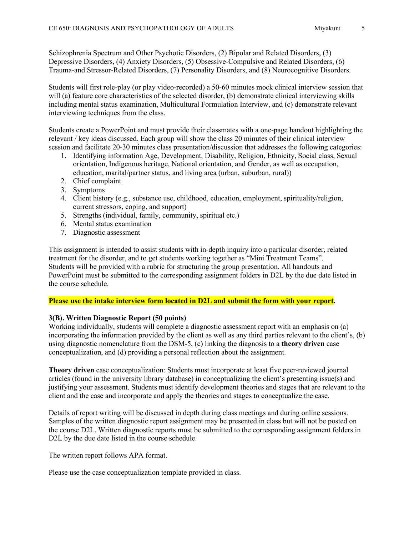Schizophrenia Spectrum and Other Psychotic Disorders, (2) Bipolar and Related Disorders, (3) Depressive Disorders, (4) Anxiety Disorders, (5) Obsessive-Compulsive and Related Disorders, (6) Trauma-and Stressor-Related Disorders, (7) Personality Disorders, and (8) Neurocognitive Disorders.

Students will first role-play (or play video-recorded) a 50-60 minutes mock clinical interview session that will (a) feature core characteristics of the selected disorder, (b) demonstrate clinical interviewing skills including mental status examination, Multicultural Formulation Interview, and (c) demonstrate relevant interviewing techniques from the class.

Students create a PowerPoint and must provide their classmates with a one-page handout highlighting the relevant / key ideas discussed. Each group will show the class 20 minutes of their clinical interview session and facilitate 20-30 minutes class presentation/discussion that addresses the following categories:

- 1. Identifying information Age, Development, Disability, Religion, Ethnicity, Social class, Sexual orientation, Indigenous heritage, National orientation, and Gender, as well as occupation, education, marital/partner status, and living area (urban, suburban, rural))
- 2. Chief complaint
- 3. Symptoms
- 4. Client history (e.g., substance use, childhood, education, employment, spirituality/religion, current stressors, coping, and support)
- 5. Strengths (individual, family, community, spiritual etc.)
- 6. Mental status examination
- 7. Diagnostic assessment

This assignment is intended to assist students with in-depth inquiry into a particular disorder, related treatment for the disorder, and to get students working together as "Mini Treatment Teams". Students will be provided with a rubric for structuring the group presentation. All handouts and PowerPoint must be submitted to the corresponding assignment folders in D2L by the due date listed in the course schedule.

### **Please use the intake interview form located in D2L and submit the form with your report.**

### **3(B). Written Diagnostic Report (50 points)**

Working individually, students will complete a diagnostic assessment report with an emphasis on (a) incorporating the information provided by the client as well as any third parties relevant to the client's, (b) using diagnostic nomenclature from the DSM-5, (c) linking the diagnosis to a **theory driven** case conceptualization, and (d) providing a personal reflection about the assignment.

**Theory driven** case conceptualization: Students must incorporate at least five peer-reviewed journal articles (found in the university library database) in conceptualizing the client's presenting issue(s) and justifying your assessment. Students must identify development theories and stages that are relevant to the client and the case and incorporate and apply the theories and stages to conceptualize the case.

Details of report writing will be discussed in depth during class meetings and during online sessions. Samples of the written diagnostic report assignment may be presented in class but will not be posted on the course D2L. Written diagnostic reports must be submitted to the corresponding assignment folders in D2L by the due date listed in the course schedule.

The written report follows APA format.

Please use the case conceptualization template provided in class.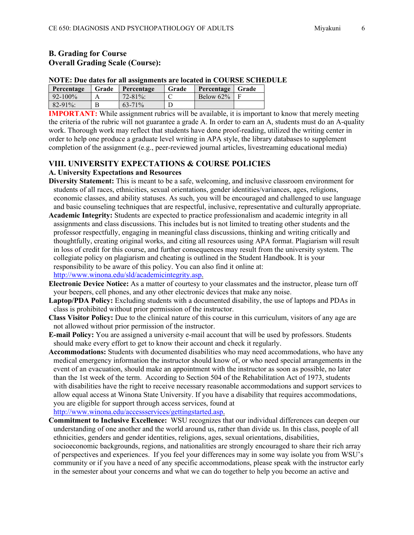# **B. Grading for Course Overall Grading Scale (Course):**

#### **NOTE: Due dates for all assignments are located in COURSE SCHEDULE**

| Percentage   | Grade | Percentage  | Grade | Percentage Grade |  |
|--------------|-------|-------------|-------|------------------|--|
| $92 - 100\%$ |       | $72 - 81\%$ |       | Below $62\%$     |  |
| $82 - 91\%$  |       | $63 - 71\%$ |       |                  |  |

**IMPORTANT:** While assignment rubrics will be available, it is important to know that merely meeting the criteria of the rubric will not guarantee a grade A. In order to earn an A, students must do an A-quality work. Thorough work may reflect that students have done proof-reading, utilized the writing center in order to help one produce a graduate level writing in APA style, the library databases to supplement completion of the assignment (e.g., peer-reviewed journal articles, livestreaming educational media)

# **VIII. UNIVERSITY EXPECTATIONS & COURSE POLICIES A. University Expectations and Resources**

- **Diversity Statement:** This is meant to be a safe, welcoming, and inclusive classroom environment for students of all races, ethnicities, sexual orientations, gender identities/variances, ages, religions, economic classes, and ability statuses. As such, you will be encouraged and challenged to use language and basic counseling techniques that are respectful, inclusive, representative and culturally appropriate.
- **Academic Integrity:** Students are expected to practice professionalism and academic integrity in all assignments and class discussions. This includes but is not limited to treating other students and the professor respectfully, engaging in meaningful class discussions, thinking and writing critically and thoughtfully, creating original works, and citing all resources using APA format. Plagiarism will result in loss of credit for this course, and further consequences may result from the university system. The collegiate policy on plagiarism and cheating is outlined in the Student Handbook. It is your responsibility to be aware of this policy. You can also find it online at: [http://www.winona.edu/sld/academicintegrity.asp.](http://www.winona.edu/sld/academicintegrity.asp)

**Electronic Device Notice:** As a matter of courtesy to your classmates and the instructor, please turn off your beepers, cell phones, and any other electronic devices that make any noise.

- **Laptop/PDA Policy:** Excluding students with a documented disability, the use of laptops and PDAs in class is prohibited without prior permission of the instructor.
- **Class Visitor Policy:** Due to the clinical nature of this course in this curriculum, visitors of any age are not allowed without prior permission of the instructor.
- **E-mail Policy:** You are assigned a university e-mail account that will be used by professors. Students should make every effort to get to know their account and check it regularly.
- **Accommodations:** Students with documented disabilities who may need accommodations, who have any medical emergency information the instructor should know of, or who need special arrangements in the event of an evacuation, should make an appointment with the instructor as soon as possible, no later than the 1st week of the term. According to Section 504 of the Rehabilitation Act of 1973, students with disabilities have the right to receive necessary reasonable accommodations and support services to allow equal access at Winona State University. If you have a disability that requires accommodations, you are eligible for support through access services, found at

[http://www.winona.edu/accessservices/gettingstarted.asp.](http://www.winona.edu/accessservices/gettingstarted.asp)

**Commitment to Inclusive Excellence:** WSU recognizes that our individual differences can deepen our understanding of one another and the world around us, rather than divide us. In this class, people of all ethnicities, genders and gender identities, religions, ages, sexual orientations, disabilities, socioeconomic backgrounds, regions, and nationalities are strongly encouraged to share their rich array of perspectives and experiences. If you feel your differences may in some way isolate you from WSU's community or if you have a need of any specific accommodations, please speak with the instructor early in the semester about your concerns and what we can do together to help you become an active and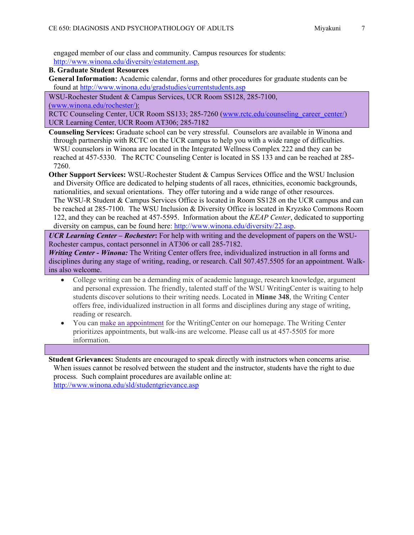engaged member of our class and community. Campus resources for students: [http://www.winona.edu/diversity/estatement.asp.](http://www.winona.edu/diversity/estatement.asp)

**B. Graduate Student Resources** 

**General Information:** Academic calendar, forms and other procedures for graduate students can be found at<http://www.winona.edu/gradstudies/currentstudents.asp>

WSU-Rochester Student & Campus Services, UCR Room SS128, 285-7100, [\(www.winona.edu/rochester/\)](http://www.winona.edu/rochester/):

RCTC Counseling Center, UCR Room SS133; 285-7260 [\(www.rctc.edu/counseling\\_career\\_center/\)](http://www.rctc.edu/counseling_career_center/) UCR Learning Center, UCR Room AT306; 285-7182

**Counseling Services:** Graduate school can be very stressful. Counselors are available in Winona and through partnership with RCTC on the UCR campus to help you with a wide range of difficulties. WSU counselors in Winona are located in the Integrated Wellness Complex 222 and they can be reached at 457-5330. The RCTC Counseling Center is located in SS 133 and can be reached at 285- 7260.

**Other Support Services:** WSU-Rochester Student & Campus Services Office and the WSU Inclusion and Diversity Office are dedicated to helping students of all races, ethnicities, economic backgrounds, nationalities, and sexual orientations. They offer tutoring and a wide range of other resources. The WSU-R Student & Campus Services Office is located in Room SS128 on the UCR campus and can be reached at 285-7100. The WSU Inclusion & Diversity Office is located in Kryzsko Commons Room 122, and they can be reached at 457-5595. Information about the *KEAP Center*, dedicated to supporting diversity on campus, can be found here: [http://www.winona.edu/diversity/22.asp.](http://www.winona.edu/diversity/22.asp)

*UCR Learning Center – Rochester***:** For help with writing and the development of papers on the WSU-Rochester campus, contact personnel in AT306 or call 285-7182.

*Writing Center - Winona:* The Writing Center offers free, individualized instruction in all forms and disciplines during any stage of writing, reading, or research. Call 507.457.5505 for an appointment. Walkins also welcome.

- College writing can be a demanding mix of academic language, research knowledge, argument and personal expression. The friendly, talented staff of the WSU WritingCenter is waiting to help students discover solutions to their writing needs. Located in **Minne 348**, the Writing Center offers free, individualized instruction in all forms and disciplines during any stage of writing, reading or research.
- You can make an [appointment](https://nam02.safelinks.protection.outlook.com/?url=https%3A%2F%2Ftutortrac.winona.edu%2FTracWeb40%2FDefault.html&data=02%7C01%7Crieko.miyakuni%40winona.edu%7Cbf9f70f43fed4cab718608d7267533aa%7C5011c7c60ab446ab9ef4fae74a921a7f%7C0%7C0%7C637020157438132294&sdata=FvaxpyiO8vfwisQ6yn9Azmp4AVIHuDhSuGOL1Frr8l8%3D&reserved=0) for the WritingCenter on our homepage. The Writing Center prioritizes appointments, but walk-ins are welcome. Please call us at 457-5505 for more information.

**Student Grievances:** Students are encouraged to speak directly with instructors when concerns arise. When issues cannot be resolved between the student and the instructor, students have the right to due process. Such complaint procedures are available online at: <http://www.winona.edu/sld/studentgrievance.asp>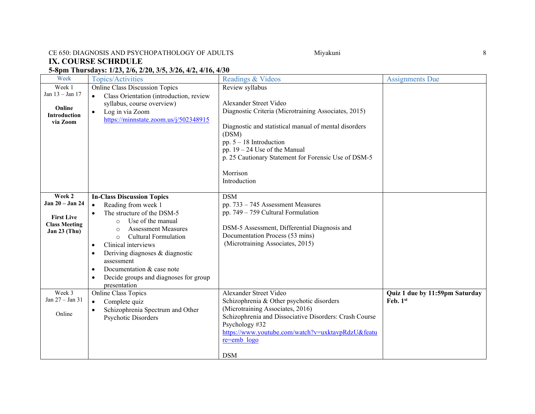# CE 650: DIAGNOSIS AND PSYCHOPATHOLOGY OF ADULTS Miyakuni Miyakuni 8

# **IX. COURSE SCHRDULE**

# **5-8pm Thursdays: 1/23, 2/6, 2/20, 3/5, 3/26, 4/2, 4/16, 4/30**

| Week                                                                                     | <b>Topics/Activities</b>                                                                                                                                                                                                                                                                                                                                                                                                                 | Readings & Videos                                                                                                                                                                                                                                                                                                       | <b>Assignments Due</b>                     |
|------------------------------------------------------------------------------------------|------------------------------------------------------------------------------------------------------------------------------------------------------------------------------------------------------------------------------------------------------------------------------------------------------------------------------------------------------------------------------------------------------------------------------------------|-------------------------------------------------------------------------------------------------------------------------------------------------------------------------------------------------------------------------------------------------------------------------------------------------------------------------|--------------------------------------------|
| Week 1<br>Jan 13 - Jan 17<br>Online<br><b>Introduction</b><br>via Zoom                   | <b>Online Class Discussion Topics</b><br>Class Orientation (introduction, review<br>$\bullet$<br>syllabus, course overview)<br>Log in via Zoom<br>$\bullet$<br>https://minnstate.zoom.us/j/502348915                                                                                                                                                                                                                                     | Review syllabus<br>Alexander Street Video<br>Diagnostic Criteria (Microtraining Associates, 2015)<br>Diagnostic and statistical manual of mental disorders<br>(DSM)<br>pp. $5 - 18$ Introduction<br>pp. $19 - 24$ Use of the Manual<br>p. 25 Cautionary Statement for Forensic Use of DSM-5<br>Morrison<br>Introduction |                                            |
| Week 2<br>Jan 20 - Jan 24<br><b>First Live</b><br><b>Class Meeting</b><br>Jan $23$ (Thu) | <b>In-Class Discussion Topics</b><br>Reading from week 1<br>$\bullet$<br>The structure of the DSM-5<br>Use of the manual<br>$\circ$<br><b>Assessment Measures</b><br>$\circ$<br><b>Cultural Formulation</b><br>$\circ$<br>Clinical interviews<br>$\bullet$<br>Deriving diagnoses & diagnostic<br>$\bullet$<br>assessment<br>Documentation & case note<br>$\bullet$<br>Decide groups and diagnoses for group<br>$\bullet$<br>presentation | <b>DSM</b><br>pp. $733 - 745$ Assessment Measures<br>pp. 749 - 759 Cultural Formulation<br>DSM-5 Assessment, Differential Diagnosis and<br>Documentation Process (53 mins)<br>(Microtraining Associates, 2015)                                                                                                          |                                            |
| Week 3<br>Jan $27 -$ Jan $31$<br>Online                                                  | <b>Online Class Topics</b><br>Complete quiz<br>$\bullet$<br>Schizophrenia Spectrum and Other<br>Psychotic Disorders                                                                                                                                                                                                                                                                                                                      | Alexander Street Video<br>Schizophrenia & Other psychotic disorders<br>(Microtraining Associates, 2016)<br>Schizophrenia and Dissociative Disorders: Crash Course<br>Psychology #32<br>https://www.youtube.com/watch?v=uxktavpRdzU&featu<br>$re=emb \log o$<br><b>DSM</b>                                               | Quiz 1 due by 11:59pm Saturday<br>Feb. 1st |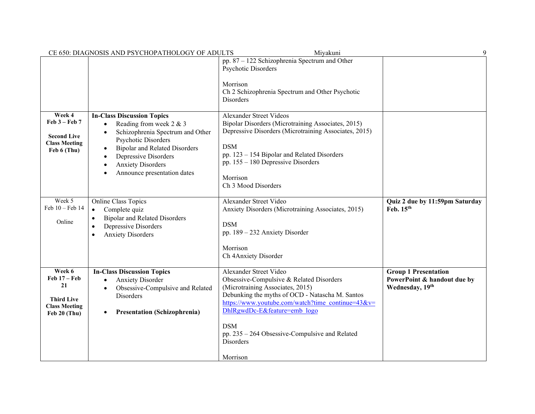|                                                                                             | CE 650: DIAGNOSIS AND PSYCHOPATHOLOGY OF ADULTS                                                                                                                                                                                                                                                | Miyakuni                                                                                                                                                                                                                                                                                                                                  | $\mathbf Q$                                                                   |
|---------------------------------------------------------------------------------------------|------------------------------------------------------------------------------------------------------------------------------------------------------------------------------------------------------------------------------------------------------------------------------------------------|-------------------------------------------------------------------------------------------------------------------------------------------------------------------------------------------------------------------------------------------------------------------------------------------------------------------------------------------|-------------------------------------------------------------------------------|
|                                                                                             |                                                                                                                                                                                                                                                                                                | pp. 87 - 122 Schizophrenia Spectrum and Other<br>Psychotic Disorders<br>Morrison<br>Ch 2 Schizophrenia Spectrum and Other Psychotic<br>Disorders                                                                                                                                                                                          |                                                                               |
| Week 4<br>$Feb 3 - Feb 7$<br><b>Second Live</b><br><b>Class Meeting</b><br>Feb 6 (Thu)      | <b>In-Class Discussion Topics</b><br>Reading from week 2 & 3<br>$\bullet$<br>Schizophrenia Spectrum and Other<br>$\bullet$<br>Psychotic Disorders<br><b>Bipolar and Related Disorders</b><br>٠<br>Depressive Disorders<br>$\bullet$<br><b>Anxiety Disorders</b><br>Announce presentation dates | <b>Alexander Street Videos</b><br>Bipolar Disorders (Microtraining Associates, 2015)<br>Depressive Disorders (Microtraining Associates, 2015)<br><b>DSM</b><br>pp. 123 - 154 Bipolar and Related Disorders<br>pp. $155 - 180$ Depressive Disorders<br>Morrison<br>Ch 3 Mood Disorders                                                     |                                                                               |
| Week 5<br>Feb 10 - Feb 14<br>Online                                                         | <b>Online Class Topics</b><br>Complete quiz<br>$\bullet$<br><b>Bipolar and Related Disorders</b><br>$\bullet$<br>Depressive Disorders<br>$\bullet$<br><b>Anxiety Disorders</b><br>$\bullet$                                                                                                    | Alexander Street Video<br>Anxiety Disorders (Microtraining Associates, 2015)<br><b>DSM</b><br>pp. 189 - 232 Anxiety Disorder<br>Morrison<br>Ch 4Anxiety Disorder                                                                                                                                                                          | Quiz 2 due by 11:59pm Saturday<br>Feb. 15th                                   |
| Week 6<br>Feb $17 -$ Feb<br>21<br><b>Third Live</b><br><b>Class Meeting</b><br>Feb 20 (Thu) | <b>In-Class Discussion Topics</b><br><b>Anxiety Disorder</b><br>$\bullet$<br>Obsessive-Compulsive and Related<br>$\bullet$<br>Disorders<br><b>Presentation (Schizophrenia)</b><br>٠                                                                                                            | Alexander Street Video<br>Obsessive-Compulsive & Related Disorders<br>(Microtraining Associates, 2015)<br>Debunking the myths of OCD - Natascha M. Santos<br>https://www.youtube.com/watch?time_continue=43&v=<br>DhlRgwdDc-E&feature=emb logo<br><b>DSM</b><br>pp. $235 - 264$ Obsessive-Compulsive and Related<br>Disorders<br>Morrison | <b>Group 1 Presentation</b><br>PowerPoint & handout due by<br>Wednesday, 19th |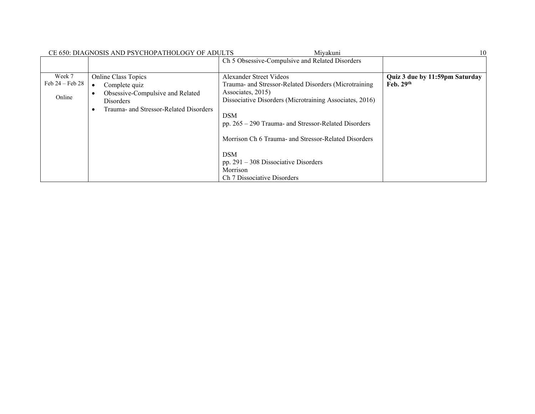|                                         | CE 650: DIAGNOSIS AND PSYCHOPATHOLOGY OF ADULTS                                                                                        | Mivakuni                                                                                                                                                                                                                                                                                                                                                                                             | 10                                            |
|-----------------------------------------|----------------------------------------------------------------------------------------------------------------------------------------|------------------------------------------------------------------------------------------------------------------------------------------------------------------------------------------------------------------------------------------------------------------------------------------------------------------------------------------------------------------------------------------------------|-----------------------------------------------|
|                                         |                                                                                                                                        | Ch 5 Obsessive-Compulsive and Related Disorders                                                                                                                                                                                                                                                                                                                                                      |                                               |
| Week 7<br>Feb $24$ – Feb $28$<br>Online | <b>Online Class Topics</b><br>Complete quiz<br>Obsessive-Compulsive and Related<br>Disorders<br>Trauma- and Stressor-Related Disorders | Alexander Street Videos<br>Trauma- and Stressor-Related Disorders (Microtraining)<br>Associates, 2015)<br>Dissociative Disorders (Microtraining Associates, 2016)<br><b>DSM</b><br>pp. $265 - 290$ Trauma- and Stressor-Related Disorders<br>Morrison Ch 6 Trauma- and Stressor-Related Disorders<br><b>DSM</b><br>pp. $291 - 308$ Dissociative Disorders<br>Morrison<br>Ch 7 Dissociative Disorders | Quiz 3 due by 11:59pm Saturday<br>Feb. $29th$ |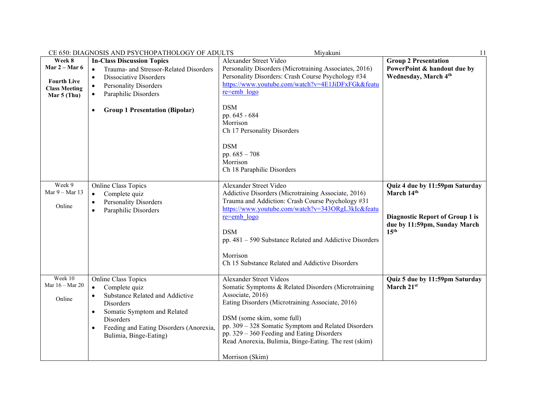|                                                                              | CE 650: DIAGNOSIS AND PSYCHOPATHOLOGY OF ADULTS                                                                                                                                                                                              | Miyakuni                                                                                                                                                                                                                                                                                                                                                                | 11                                                                                                                                         |
|------------------------------------------------------------------------------|----------------------------------------------------------------------------------------------------------------------------------------------------------------------------------------------------------------------------------------------|-------------------------------------------------------------------------------------------------------------------------------------------------------------------------------------------------------------------------------------------------------------------------------------------------------------------------------------------------------------------------|--------------------------------------------------------------------------------------------------------------------------------------------|
| Week 8                                                                       | <b>In-Class Discussion Topics</b>                                                                                                                                                                                                            | Alexander Street Video                                                                                                                                                                                                                                                                                                                                                  | <b>Group 2 Presentation</b>                                                                                                                |
| Mar $2 -$ Mar 6<br><b>Fourth Live</b><br><b>Class Meeting</b><br>Mar 5 (Thu) | Trauma- and Stressor-Related Disorders<br>Dissociative Disorders<br>$\bullet$<br><b>Personality Disorders</b><br>Paraphilic Disorders<br><b>Group 1 Presentation (Bipolar)</b><br>$\bullet$                                                  | Personality Disorders (Microtraining Associates, 2016)<br>Personality Disorders: Crash Course Psychology #34<br>https://www.youtube.com/watch?v=4E1JiDFxFGk&featu<br>re=emb logo<br><b>DSM</b><br>pp. 645 - 684<br>Morrison<br>Ch 17 Personality Disorders<br><b>DSM</b><br>pp. 685 - 708<br>Morrison<br>Ch 18 Paraphilic Disorders                                     | PowerPoint & handout due by<br>Wednesday, March 4th                                                                                        |
| Week 9<br>Mar 9 - Mar 13<br>Online                                           | Online Class Topics<br>Complete quiz<br>$\bullet$<br><b>Personality Disorders</b><br>Paraphilic Disorders                                                                                                                                    | Alexander Street Video<br>Addictive Disorders (Microtraining Associate, 2016)<br>Trauma and Addiction: Crash Course Psychology #31<br>https://www.youtube.com/watch?v=343ORgL3kIc&featu<br>re=emb logo<br><b>DSM</b><br>pp. 481 - 590 Substance Related and Addictive Disorders<br>Morrison<br>Ch 15 Substance Related and Addictive Disorders                          | Quiz 4 due by 11:59pm Saturday<br>March 14th<br><b>Diagnostic Report of Group 1 is</b><br>due by 11:59pm, Sunday March<br>15 <sup>th</sup> |
| Week 10<br>Mar $16 -$ Mar 20<br>Online                                       | Online Class Topics<br>Complete quiz<br>$\bullet$<br>Substance Related and Addictive<br>Disorders<br>Somatic Symptom and Related<br>$\bullet$<br>Disorders<br>Feeding and Eating Disorders (Anorexia,<br>$\bullet$<br>Bulimia, Binge-Eating) | Alexander Street Videos<br>Somatic Symptoms & Related Disorders (Microtraining<br>Associate, 2016)<br>Eating Disorders (Microtraining Associate, 2016)<br>DSM (some skim, some full)<br>pp. 309 - 328 Somatic Symptom and Related Disorders<br>pp. $329 - 360$ Feeding and Eating Disorders<br>Read Anorexia, Bulimia, Binge-Eating. The rest (skim)<br>Morrison (Skim) | Quiz 5 due by 11:59pm Saturday<br>March 21st                                                                                               |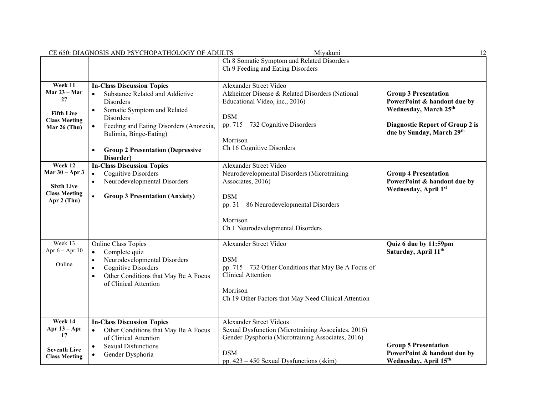|                                                                                         | CE 650: DIAGNOSIS AND PSYCHOPATHOLOGY OF ADULTS                                                                                                                                                                         | Miyakuni                                                                                                                                                                                                | 12                                                                                  |
|-----------------------------------------------------------------------------------------|-------------------------------------------------------------------------------------------------------------------------------------------------------------------------------------------------------------------------|---------------------------------------------------------------------------------------------------------------------------------------------------------------------------------------------------------|-------------------------------------------------------------------------------------|
|                                                                                         |                                                                                                                                                                                                                         | Ch 8 Somatic Symptom and Related Disorders                                                                                                                                                              |                                                                                     |
|                                                                                         |                                                                                                                                                                                                                         | Ch 9 Feeding and Eating Disorders                                                                                                                                                                       |                                                                                     |
| Week 11<br>Mar 23 – Mar<br>27<br><b>Fifth Live</b><br><b>Class Meeting</b>              | <b>In-Class Discussion Topics</b><br>Substance Related and Addictive<br>$\bullet$<br>Disorders<br>Somatic Symptom and Related<br>Disorders                                                                              | Alexander Street Video<br>Alzheimer Disease & Related Disorders (National<br>Educational Video, inc., 2016)<br><b>DSM</b>                                                                               | <b>Group 3 Presentation</b><br>PowerPoint & handout due by<br>Wednesday, March 25th |
| Mar 26 (Thu)                                                                            | Feeding and Eating Disorders (Anorexia,<br>$\bullet$<br>Bulimia, Binge-Eating)<br><b>Group 2 Presentation (Depressive</b><br>$\bullet$<br>Disorder)                                                                     | pp. $715 - 732$ Cognitive Disorders<br>Morrison<br>Ch 16 Cognitive Disorders                                                                                                                            | <b>Diagnostic Report of Group 2 is</b><br>due by Sunday, March 29th                 |
| Week 12<br>Mar $30 -$ Apr 3<br><b>Sixth Live</b><br><b>Class Meeting</b><br>Apr 2 (Thu) | <b>In-Class Discussion Topics</b><br><b>Cognitive Disorders</b><br>$\bullet$<br>Neurodevelopmental Disorders<br>$\bullet$<br><b>Group 3 Presentation (Anxiety)</b>                                                      | Alexander Street Video<br>Neurodevelopmental Disorders (Microtraining<br>Associates, 2016)<br><b>DSM</b><br>pp. $31 - 86$ Neurodevelopmental Disorders<br>Morrison<br>Ch 1 Neurodevelopmental Disorders | <b>Group 4 Presentation</b><br>PowerPoint & handout due by<br>Wednesday, April 1st  |
| Week 13<br>Apr $6 -$ Apr $10$<br>Online                                                 | Online Class Topics<br>Complete quiz<br>$\bullet$<br>Neurodevelopmental Disorders<br>$\bullet$<br><b>Cognitive Disorders</b><br>$\bullet$<br>Other Conditions that May Be A Focus<br>$\bullet$<br>of Clinical Attention | Alexander Street Video<br><b>DSM</b><br>pp. 715 – 732 Other Conditions that May Be A Focus of<br><b>Clinical Attention</b><br>Morrison<br>Ch 19 Other Factors that May Need Clinical Attention          | Quiz 6 due by 11:59pm<br>Saturday, April 11 <sup>th</sup>                           |
| Week 14<br>Apr $13 - Apr$<br>17<br><b>Seventh Live</b><br><b>Class Meeting</b>          | <b>In-Class Discussion Topics</b><br>Other Conditions that May Be A Focus<br>$\bullet$<br>of Clinical Attention<br><b>Sexual Disfunctions</b><br>Gender Dysphoria                                                       | <b>Alexander Street Videos</b><br>Sexual Dysfunction (Microtraining Associates, 2016)<br>Gender Dysphoria (Microtraining Associates, 2016)<br><b>DSM</b><br>pp. $423 - 450$ Sexual Dysfunctions (skim)  | <b>Group 5 Presentation</b><br>PowerPoint & handout due by<br>Wednesday, April 15th |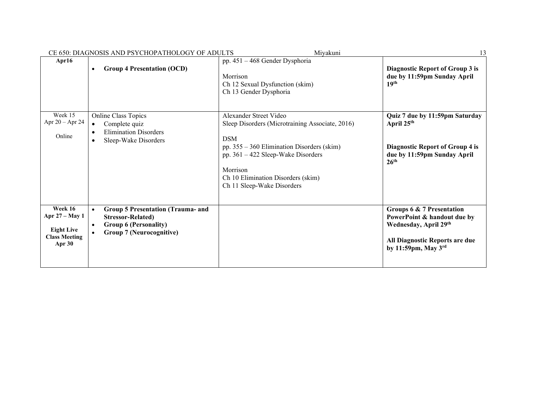|                                                                                  | CE 650: DIAGNOSIS AND PSYCHOPATHOLOGY OF ADULTS                                                                                         | Miyakuni                                                                                                                                                                                                                                                      | 13                                                                                                                                                     |
|----------------------------------------------------------------------------------|-----------------------------------------------------------------------------------------------------------------------------------------|---------------------------------------------------------------------------------------------------------------------------------------------------------------------------------------------------------------------------------------------------------------|--------------------------------------------------------------------------------------------------------------------------------------------------------|
| Apr16                                                                            | <b>Group 4 Presentation (OCD)</b><br>$\bullet$                                                                                          | pp. 451 - 468 Gender Dysphoria<br>Morrison<br>Ch 12 Sexual Dysfunction (skim)<br>Ch 13 Gender Dysphoria                                                                                                                                                       | Diagnostic Report of Group 3 is<br>due by 11:59pm Sunday April<br>19th                                                                                 |
| Week 15<br>Apr $20 -$ Apr $24$<br>Online                                         | Online Class Topics<br>Complete quiz<br><b>Elimination Disorders</b><br>Sleep-Wake Disorders                                            | Alexander Street Video<br>Sleep Disorders (Microtraining Associate, 2016)<br><b>DSM</b><br>pp. $355 - 360$ Elimination Disorders (skim)<br>pp. 361 - 422 Sleep-Wake Disorders<br>Morrison<br>Ch 10 Elimination Disorders (skim)<br>Ch 11 Sleep-Wake Disorders | Quiz 7 due by 11:59pm Saturday<br>April 25 <sup>th</sup><br><b>Diagnostic Report of Group 4 is</b><br>due by 11:59pm Sunday April<br>26 <sup>th</sup>  |
| Week 16<br>Apr 27 – May 1<br><b>Eight Live</b><br><b>Class Meeting</b><br>Apr 30 | <b>Group 5 Presentation (Trauma- and</b><br><b>Stressor-Related)</b><br><b>Group 6 (Personality)</b><br><b>Group 7 (Neurocognitive)</b> |                                                                                                                                                                                                                                                               | Groups 6 & 7 Presentation<br>PowerPoint & handout due by<br>Wednesday, April 29th<br>All Diagnostic Reports are due<br>by 11:59pm, May $3^{\text{rd}}$ |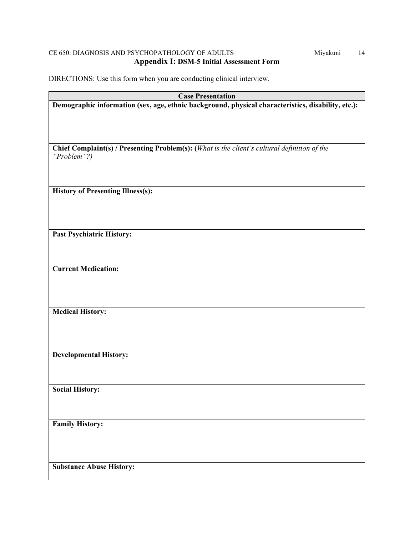# CE 650: DIAGNOSIS AND PSYCHOPATHOLOGY OF ADULTS Miyakuni 14 **Appendix I: DSM-5 Initial Assessment Form**

DIRECTIONS: Use this form when you are conducting clinical interview.

| <b>Case Presentation</b>                                                                                    |  |  |
|-------------------------------------------------------------------------------------------------------------|--|--|
| Demographic information (sex, age, ethnic background, physical characteristics, disability, etc.):          |  |  |
|                                                                                                             |  |  |
|                                                                                                             |  |  |
|                                                                                                             |  |  |
|                                                                                                             |  |  |
| Chief Complaint(s) / Presenting Problem(s): (What is the client's cultural definition of the<br>"Problem"?) |  |  |
|                                                                                                             |  |  |
|                                                                                                             |  |  |
|                                                                                                             |  |  |
| <b>History of Presenting Illness(s):</b>                                                                    |  |  |
|                                                                                                             |  |  |
|                                                                                                             |  |  |
|                                                                                                             |  |  |
| <b>Past Psychiatric History:</b>                                                                            |  |  |
|                                                                                                             |  |  |
|                                                                                                             |  |  |
|                                                                                                             |  |  |
| <b>Current Medication:</b>                                                                                  |  |  |
|                                                                                                             |  |  |
|                                                                                                             |  |  |
|                                                                                                             |  |  |
| <b>Medical History:</b>                                                                                     |  |  |
|                                                                                                             |  |  |
|                                                                                                             |  |  |
|                                                                                                             |  |  |
|                                                                                                             |  |  |
| <b>Developmental History:</b>                                                                               |  |  |
|                                                                                                             |  |  |
|                                                                                                             |  |  |
| <b>Social History:</b>                                                                                      |  |  |
|                                                                                                             |  |  |
|                                                                                                             |  |  |
|                                                                                                             |  |  |
| <b>Family History:</b>                                                                                      |  |  |
|                                                                                                             |  |  |
|                                                                                                             |  |  |
|                                                                                                             |  |  |
| <b>Substance Abuse History:</b>                                                                             |  |  |
|                                                                                                             |  |  |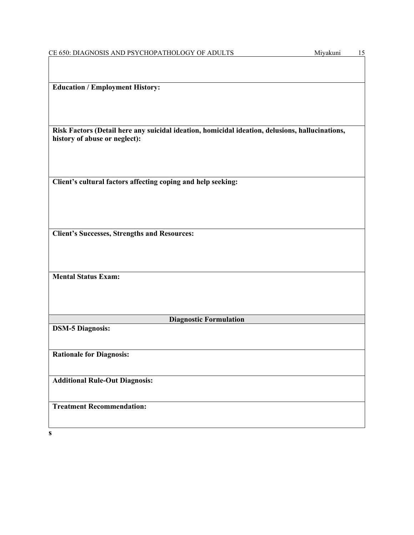| <b>Education / Employment History:</b> |  |
|----------------------------------------|--|
|                                        |  |

**Risk Factors (Detail here any suicidal ideation, homicidal ideation, delusions, hallucinations, history of abuse or neglect):**

**Client's cultural factors affecting coping and help seeking:**

**Client's Successes, Strengths and Resources:**

**Mental Status Exam:**

**Diagnostic Formulation**

**DSM-5 Diagnosis:**

**Rationale for Diagnosis:**

**Additional Rule-Out Diagnosis:**

**Treatment Recommendation:**

**s**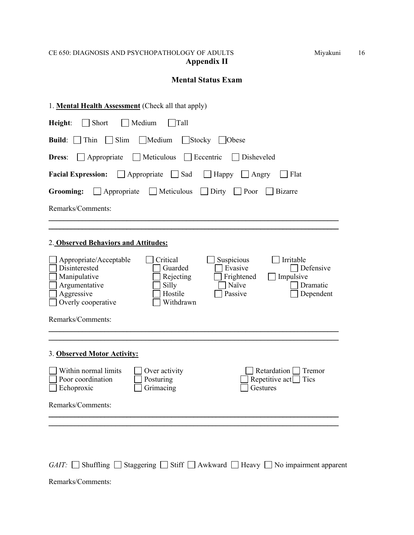# CE 650: DIAGNOSIS AND PSYCHOPATHOLOGY OF ADULTS Miyakuni 16 **Appendix II**

# **Mental Status Exam**

| 1. Mental Health Assessment (Check all that apply)                                                                                                                                                                                                                                                             |  |  |
|----------------------------------------------------------------------------------------------------------------------------------------------------------------------------------------------------------------------------------------------------------------------------------------------------------------|--|--|
| Short<br>Medium<br>Height:<br>Tall                                                                                                                                                                                                                                                                             |  |  |
| Slim<br>$\Box$ Medium<br>$\Box$ Stocky<br>Build:  <br>Thin<br>$\vert$ Obese                                                                                                                                                                                                                                    |  |  |
| $\Box$ Meticulous<br>$\Box$ Eccentric<br>Appropriate<br>Disheveled<br><b>Dress:</b>                                                                                                                                                                                                                            |  |  |
| $\Box$ Sad<br><b>Facial Expression:</b><br>Appropriate<br>Happy<br>Flat<br>$\Box$ Angry                                                                                                                                                                                                                        |  |  |
| $\Box$ Meticulous<br>Poor<br><b>Grooming:</b><br>Appropriate<br>Dirty<br>Bizarre                                                                                                                                                                                                                               |  |  |
| Remarks/Comments:                                                                                                                                                                                                                                                                                              |  |  |
|                                                                                                                                                                                                                                                                                                                |  |  |
| 2. Observed Behaviors and Attitudes:                                                                                                                                                                                                                                                                           |  |  |
| Irritable<br>Critical<br>Suspicious<br>Appropriate/Acceptable<br>Disinterested<br>Evasive<br>Guarded<br>Defensive<br>Manipulative<br>Frightened<br>Rejecting<br>Impulsive<br>Argumentative<br>  Naïve<br>Silly<br>Dramatic<br>Aggressive<br>Hostile<br>Passive<br>Dependent<br>Overly cooperative<br>Withdrawn |  |  |
| Remarks/Comments:                                                                                                                                                                                                                                                                                              |  |  |
|                                                                                                                                                                                                                                                                                                                |  |  |
| 3. Observed Motor Activity:                                                                                                                                                                                                                                                                                    |  |  |
| Within normal limits<br>Retardation  <br>Over activity<br>Tremor<br>Poor coordination<br>Posturing<br>Repetitive act<br>Tics<br>Echoproxic<br>Grimacing<br>Gestures                                                                                                                                            |  |  |
| Remarks/Comments:                                                                                                                                                                                                                                                                                              |  |  |
|                                                                                                                                                                                                                                                                                                                |  |  |

*GAIT:* Shuffling Staggering Stiff Awkward Heavy No impairment apparent

Remarks/Comments: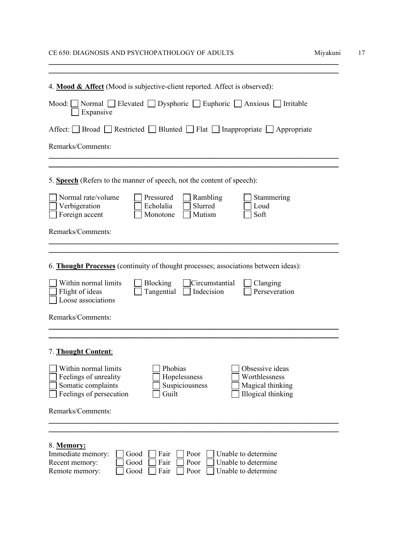# CE 650: DIAGNOSIS AND PSYCHOPATHOLOGY OF ADULTS Miyakuni 17

| 4. Mood & Affect (Mood is subjective-client reported. Affect is observed):                                                                                                                                                         |
|------------------------------------------------------------------------------------------------------------------------------------------------------------------------------------------------------------------------------------|
| Normal □ Elevated □ Dysphoric □ Euphoric □ Anxious □ Irritable<br>Mod:<br>Expansive                                                                                                                                                |
| Affect: Broad Restricted Blunted Flat Inappropriate Appropriate                                                                                                                                                                    |
| Remarks/Comments:                                                                                                                                                                                                                  |
|                                                                                                                                                                                                                                    |
| 5. Speech (Refers to the manner of speech, not the content of speech):                                                                                                                                                             |
| Normal rate/volume<br>Pressured<br>Rambling<br>Stammering<br>Verbigeration<br>Echolalia<br>Slurred<br>Loud<br>Foreign accent<br>Monotone<br>Mutism<br>Soft                                                                         |
| Remarks/Comments:                                                                                                                                                                                                                  |
|                                                                                                                                                                                                                                    |
| 6. Thought Processes (continuity of thought processes; associations between ideas):                                                                                                                                                |
| Within normal limits<br>Blocking<br>Circumstantial<br>Clanging<br>Flight of ideas<br>Tangential<br>Indecision<br>Perseveration<br>Loose associations                                                                               |
| Remarks/Comments:                                                                                                                                                                                                                  |
|                                                                                                                                                                                                                                    |
| 7. Thought Content:                                                                                                                                                                                                                |
| Within normal limits<br>Obsessive ideas<br>Phobias<br>Worthlessness<br>Feelings of unreality<br>Hopelessness<br>Somatic complaints<br>Magical thinking<br>Suspiciousness<br>Feelings of persecution<br>Illogical thinking<br>Guilt |
| Remarks/Comments:                                                                                                                                                                                                                  |
|                                                                                                                                                                                                                                    |
| 8. Memory:<br>Immediate memory:<br>Poor<br>Fair<br>Unable to determine<br>Good<br>Poor<br>Unable to determine<br>Recent memory:<br>Good<br>Fair<br>Unable to determine<br>Remote memory:<br>Poor<br>Good<br>Fair                   |

\_\_\_\_\_\_\_\_\_\_\_\_\_\_\_\_\_\_\_\_\_\_\_\_\_\_\_\_\_\_\_\_\_\_\_\_\_\_\_\_\_\_\_\_\_\_\_\_\_\_\_\_\_\_\_\_\_\_\_\_\_\_\_\_\_\_\_\_\_\_\_\_\_\_\_\_\_\_